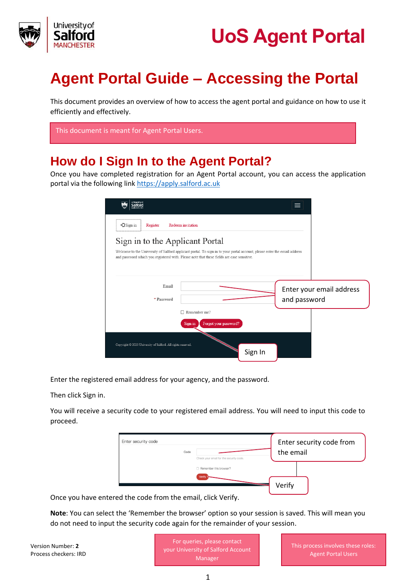

## **Agent Portal Guide – Accessing the Portal**

This document provides an overview of how to access the agent portal and guidance on how to use it efficiently and effectively.

| This document is meant for Agent Portal Users. |  |
|------------------------------------------------|--|
|------------------------------------------------|--|

### **How do I Sign In to the Agent Portal?**

Once you have completed registration for an Agent Portal account, you can access the application portal via the following link [https://apply.salford.ac.uk](https://apply.salford.ac.uk/)

| Universityci                                                                                                                                                                                                                                             |                                                  |         |              |                          |
|----------------------------------------------------------------------------------------------------------------------------------------------------------------------------------------------------------------------------------------------------------|--------------------------------------------------|---------|--------------|--------------------------|
| $\neg$ Sign in<br>Register                                                                                                                                                                                                                               | Redeem invitation                                |         |              |                          |
| Sign in to the Applicant Portal<br>Welcome to the University of Salford applicant portal. To sign in to your portal account, please enter the email address<br>and password which you registered with. Please note that these fields are case sensitive. |                                                  |         |              |                          |
| Email<br>* Password                                                                                                                                                                                                                                      |                                                  |         | and password | Enter your email address |
|                                                                                                                                                                                                                                                          | Remember me?<br>Forgot your password?<br>Sign in |         |              |                          |
| Copyright @ 2020 University of Salford. All rights reserved.                                                                                                                                                                                             |                                                  | Sign In |              |                          |

Enter the registered email address for your agency, and the password.

Then click Sign in.

You will receive a security code to your registered email address. You will need to input this code to proceed.

| Enter security code |  | Check your email for the security code. | Enter security code from<br>the email |  |  |
|---------------------|--|-----------------------------------------|---------------------------------------|--|--|
|                     |  | Remember this browser?<br>Verify        |                                       |  |  |

Once you have entered the code from the email, click Verify.

**Note**: You can select the 'Remember the browser' option so your session is saved. This will mean you do not need to input the security code again for the remainder of your session.

Version Number: **2** Process checkers: IRD

For queries, please contact your University of Salford Account Manager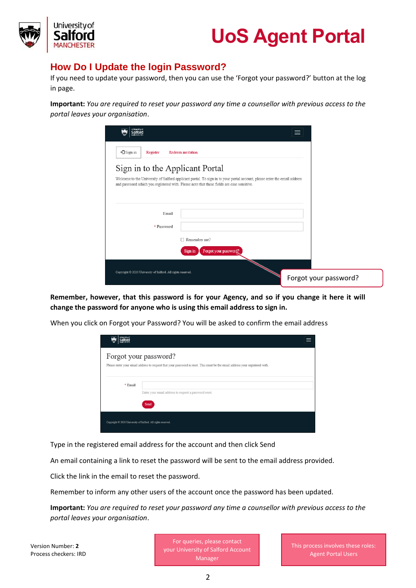

#### **How Do I Update the login Password?**

If you need to update your password, then you can use the 'Forgot your password?' button at the log in page.

**Important:** *You are required to reset your password any time a counsellor with previous access to the portal leaves your organisation*.

| <b>Inhersity of</b>                                          | ≡                                                                                                                                                                                                                     |
|--------------------------------------------------------------|-----------------------------------------------------------------------------------------------------------------------------------------------------------------------------------------------------------------------|
| $\neg$ Sign in<br>Register                                   | Redeem invitation                                                                                                                                                                                                     |
| Sign in to the Applicant Portal                              |                                                                                                                                                                                                                       |
|                                                              | Welcome to the University of Salford applicant portal. To sign in to your portal account, please enter the email address<br>and password which you registered with. Please note that these fields are case sensitive. |
|                                                              |                                                                                                                                                                                                                       |
| Email                                                        |                                                                                                                                                                                                                       |
| * Password                                                   |                                                                                                                                                                                                                       |
|                                                              | $\Box$ Remember me?                                                                                                                                                                                                   |
|                                                              | Forgot your password?<br>Sign in                                                                                                                                                                                      |
| Copyright @ 2020 University of Salford. All rights reserved. |                                                                                                                                                                                                                       |
|                                                              | Forgot your password?                                                                                                                                                                                                 |

**Remember, however, that this password is for your Agency, and so if you change it here it will change the password for anyone who is using this email address to sign in.** 

When you click on Forgot your Password? You will be asked to confirm the email address

| ntwesthan                                                    |                                                                                                                                                       |  |
|--------------------------------------------------------------|-------------------------------------------------------------------------------------------------------------------------------------------------------|--|
|                                                              | Forgot your password?<br>Please enter your email address to request that your password is reset. This must be the email address your registered with. |  |
| $*$ Email                                                    | Enter your email address to request a password reset.<br>Send                                                                                         |  |
| Copyright © 2020 University of Salford. All rights reserved. |                                                                                                                                                       |  |

Type in the registered email address for the account and then click Send

An email containing a link to reset the password will be sent to the email address provided.

Click the link in the email to reset the password.

Remember to inform any other users of the account once the password has been updated.

**Important:** *You are required to reset your password any time a counsellor with previous access to the portal leaves your organisation*.

Version Number: **2** Process checkers: IRD

For queries, please contact your University of Salford Account Manager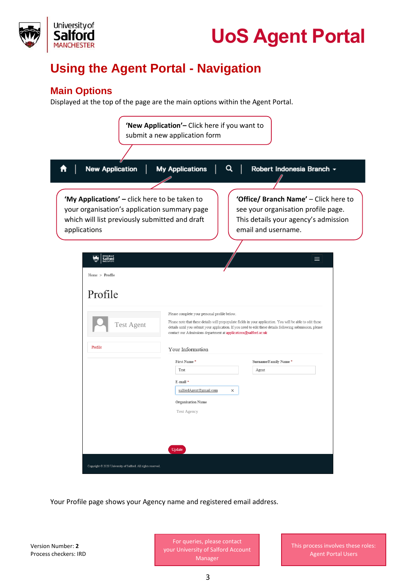



## **Using the Agent Portal - Navigation**

### **Main Options**

Displayed at the top of the page are the main options within the Agent Portal.

| <b>New Application</b>                                                                                                                                          | <b>My Applications</b>                                                                                          | Robert Indonesia Branch ~                                                                                                                                                                                               |
|-----------------------------------------------------------------------------------------------------------------------------------------------------------------|-----------------------------------------------------------------------------------------------------------------|-------------------------------------------------------------------------------------------------------------------------------------------------------------------------------------------------------------------------|
| 'My Applications' - click here to be taken to<br>your organisation's application summary page<br>which will list previously submitted and draft<br>applications |                                                                                                                 | 'Office/ Branch Name' - Click here to<br>see your organisation profile page.<br>This details your agency's admission<br>email and username.                                                                             |
| alford                                                                                                                                                          |                                                                                                                 | ≡                                                                                                                                                                                                                       |
| $Home$ > $Profile$                                                                                                                                              |                                                                                                                 |                                                                                                                                                                                                                         |
| Profile                                                                                                                                                         |                                                                                                                 |                                                                                                                                                                                                                         |
| <b>Test Agent</b>                                                                                                                                               | Please complete your personal profile below.<br>contact our Admissions department at applications@salford.ac.uk | Please note that these details will prepopulate fields in your application. You will be able to edit these<br>details until you submit your application. If you need to edit these details following submission, please |
| Profile                                                                                                                                                         | Your Information                                                                                                |                                                                                                                                                                                                                         |
|                                                                                                                                                                 | First Name*<br>Test<br>E-mail*                                                                                  | Surname/Family Name*<br>Agent                                                                                                                                                                                           |
|                                                                                                                                                                 | salfordAgent@gmail.com<br>$\times$                                                                              |                                                                                                                                                                                                                         |
|                                                                                                                                                                 | <b>Organisation Name</b><br>Test Agency                                                                         |                                                                                                                                                                                                                         |

Your Profile page shows your Agency name and registered email address.

Version Number: **2** Process checkers: IRD

For queries, please contact your University of Salford Account Manager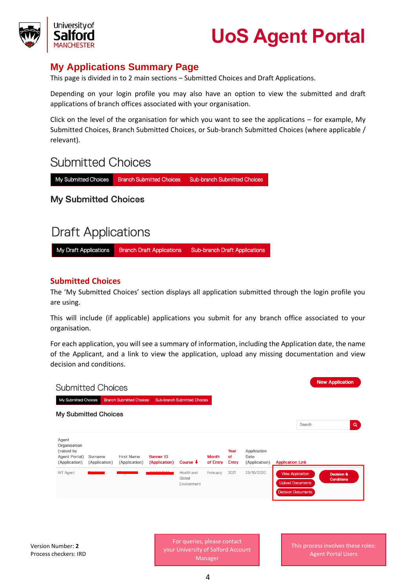



### **My Applications Summary Page**

This page is divided in to 2 main sections – Submitted Choices and Draft Applications.

Depending on your login profile you may also have an option to view the submitted and draft applications of branch offices associated with your organisation.

Click on the level of the organisation for which you want to see the applications – for example, My Submitted Choices, Branch Submitted Choices, or Sub-branch Submitted Choices (where applicable / relevant).

### **Submitted Choices**

My Submitted Choices **Branch Submitted Choices Sub-branch Submitted Choices** 

**My Submitted Choices** 

## **Draft Applications**

My Draft Applications **Branch Draft Applications Sub-branch Draft Applications** 

#### **Submitted Choices**

The 'My Submitted Choices' section displays all application submitted through the login profile you are using.

This will include (if applicable) applications you submit for any branch office associated to your organisation.

For each application, you will see a summary of information, including the Application date, the name of the Applicant, and a link to view the application, upload any missing documentation and view decision and conditions.

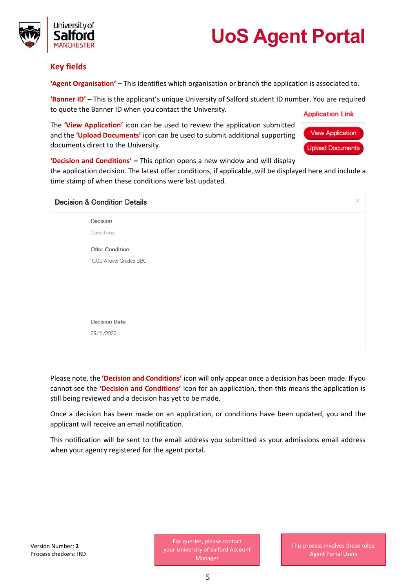

Jniversitv of

**'Agent Organisation' –** This identifies which organisation or branch the application is associated to.

**'Banner ID' –** This is the applicant's unique University of Salford student ID number. You are required to quote the Banner ID when you contact the University. **Application Link** 

The **'View Application'** icon can be used to review the application submitted and the **'Upload Documents'** icon can be used to submit additional supporting documents direct to the University.



**'Decision and Conditions' –** This option opens a new window and will display

the application decision. The latest offer conditions, if applicable, will be displayed here and include a time stamp of when these conditions were last updated.

| <b>Decision &amp; Condition Details</b> | $\times$ |
|-----------------------------------------|----------|
| Decision                                |          |
| Conditional                             |          |
| <b>Offer Condition</b>                  |          |
| GCE A level Grades BBC                  |          |
|                                         |          |
|                                         |          |
|                                         |          |
| <b>Decision Date</b>                    |          |
| 23/11/2020                              |          |
|                                         |          |

Please note, the **'Decision and Conditions'** icon will only appear once a decision has been made. If you cannot see the **'Decision and Conditions'** icon for an application, then this means the application is still being reviewed and a decision has yet to be made.

Once a decision has been made on an application, or conditions have been updated, you and the applicant will receive an email notification.

This notification will be sent to the email address you submitted as your admissions email address when your agency registered for the agent portal.

For queries, please contact your University of Salford Account Manager